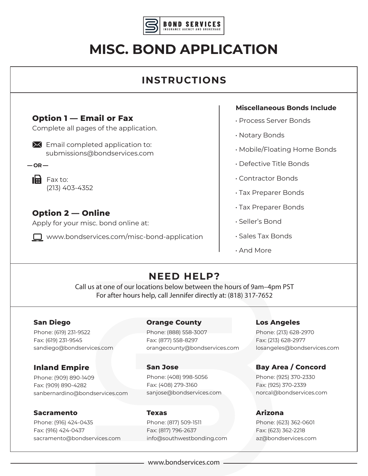

# **MISC. BOND APPLICATION**

# **INSTRUCTIONS**

# **Option 1 — Email or Fax**

Complete all pages of the application.

 $\mathbf{\times}$  Email completed application to: submissions@bondservices.com

 $-$ **OR** $-$ 

 $\mathbf{H}$  Fax to: (213) 403-4352

# **Option 2 — Online**

Apply for your misc. bond online at:

□ www.bondservices.com/misc-bond-application

#### **Miscellaneous Bonds Include**

- Process Server Bonds
- Notary Bonds
- Mobile/Floating Home Bonds
- Defective Title Bonds
- Contractor Bonds
- Tax Preparer Bonds
- Tax Preparer Bonds
- Seller's Bond
- Sales Tax Bonds
- And More

# **NEED HELP?**

Call us at one of our locations below between the hours of 9am–4pm PST For after hours help, call Jennifer directly at: (818) 317-7652

#### **San Diego**

Phone: (619) 231-9522 Fax: (619) 231-9545 sandiego@bondservices.com

### **Inland Empire**

Phone: (909) 890-1409 Fax: (909) 890-4282 sanbernardino@bondservices.com

#### **Sacramento**

Phone: (916) 424-0435 Fax: (916) 424-0437 sacramento@bondservices.com

#### **Orange County**

Phone: (888) 558-3007 Fax: (877) 558-8297 orangecounty@bondservices.com

#### **San Jose**

Phone: (408) 998-5056 Fax: (408) 279-3160 sanjose@bondservices.com

#### **Texas**

Phone: (817) 509-1511 Fax: (817) 796-2637 info@southwestbonding.com

#### **Los Angeles**

Phone: (213) 628-2970 Fax: (213) 628-2977 losangeles@bondservices.com

### **Bay Area / Concord**

Phone: (925) 370-2330 Fax: (925) 370-2339 norcal@bondservices.com

#### **Arizona**

Phone: (623) 362-0601 Fax: (623) 362-2218 az@bondservices.com

www.bondservices.com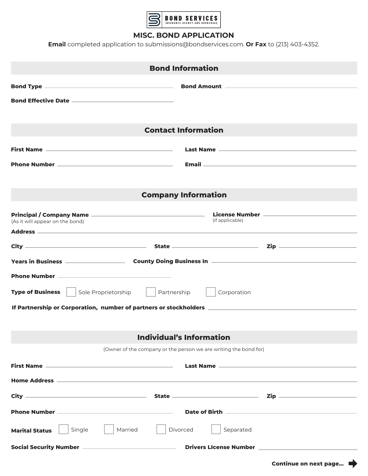

#### **MISC. BOND APPLICATION**

**Email** completed application to submissions@bondservices.com. **Or Fax** to (213) 403-4352.

| <b>Bond Information</b>                                                                                                |                                                                                   |  |  |
|------------------------------------------------------------------------------------------------------------------------|-----------------------------------------------------------------------------------|--|--|
| and Type <u>and Type and Communications and Communications and Amount and Communications and Communications and Co</u> |                                                                                   |  |  |
|                                                                                                                        |                                                                                   |  |  |
| <b>Contact Information</b>                                                                                             |                                                                                   |  |  |
|                                                                                                                        |                                                                                   |  |  |
|                                                                                                                        |                                                                                   |  |  |
|                                                                                                                        |                                                                                   |  |  |
| <b>Company Information</b>                                                                                             |                                                                                   |  |  |
|                                                                                                                        |                                                                                   |  |  |
| (As it will appear on the bond)                                                                                        | (If applicable)                                                                   |  |  |
|                                                                                                                        |                                                                                   |  |  |
|                                                                                                                        |                                                                                   |  |  |
|                                                                                                                        |                                                                                   |  |  |
| <u> Phone Number —————————————————————</u>                                                                             |                                                                                   |  |  |
| <b>Type of Business</b><br>Sole Proprietorship<br>Partnership<br>Corporation                                           |                                                                                   |  |  |
|                                                                                                                        |                                                                                   |  |  |
|                                                                                                                        |                                                                                   |  |  |
| <b>Individual's Information</b>                                                                                        |                                                                                   |  |  |
| (Owner of the company or the person we are writing the bond for)                                                       |                                                                                   |  |  |
|                                                                                                                        |                                                                                   |  |  |
|                                                                                                                        |                                                                                   |  |  |
|                                                                                                                        |                                                                                   |  |  |
|                                                                                                                        |                                                                                   |  |  |
| Married<br>Single<br><b>Marital Status</b>                                                                             | Divorced<br>Separated                                                             |  |  |
|                                                                                                                        | Social Security Number ———————————————————— Drivers LIcense Number —————————————— |  |  |